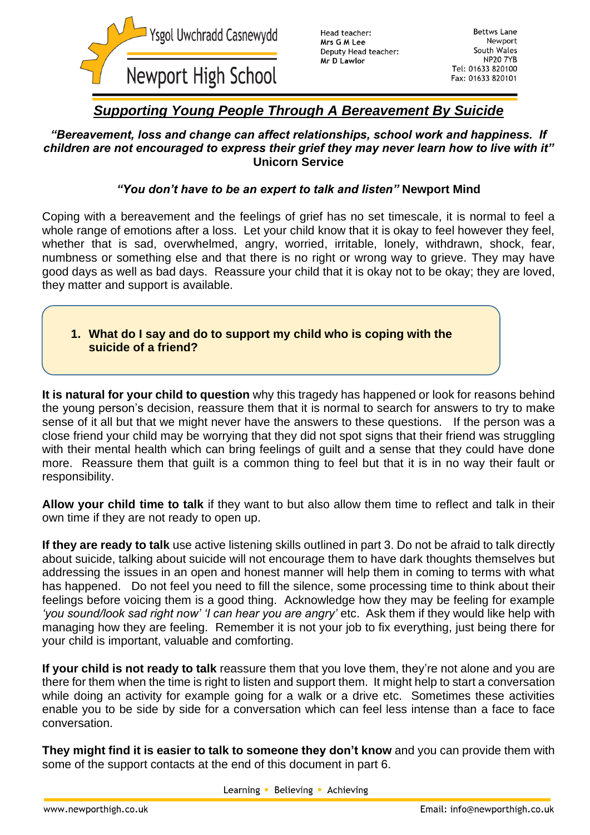

# *Supporting Young People Through A Bereavement By Suicide*

#### *"Bereavement, loss and change can affect relationships, school work and happiness. If children are not encouraged to express their grief they may never learn how to live with it"* **Unicorn Service**

## *"You don't have to be an expert to talk and listen"* **Newport Mind**

Coping with a bereavement and the feelings of grief has no set timescale, it is normal to feel a whole range of emotions after a loss. Let your child know that it is okay to feel however they feel, whether that is sad, overwhelmed, angry, worried, irritable, lonely, withdrawn, shock, fear, numbness or something else and that there is no right or wrong way to grieve. They may have good days as well as bad days. Reassure your child that it is okay not to be okay; they are loved, they matter and support is available.

## **1. What do I say and do to support my child who is coping with the suicide of a friend?**

**It is natural for your child to question** why this tragedy has happened or look for reasons behind the young person's decision, reassure them that it is normal to search for answers to try to make sense of it all but that we might never have the answers to these questions. If the person was a close friend your child may be worrying that they did not spot signs that their friend was struggling with their mental health which can bring feelings of guilt and a sense that they could have done more. Reassure them that guilt is a common thing to feel but that it is in no way their fault or responsibility.

**Allow your child time to talk** if they want to but also allow them time to reflect and talk in their own time if they are not ready to open up.

**If they are ready to talk** use active listening skills outlined in part 3. Do not be afraid to talk directly about suicide, talking about suicide will not encourage them to have dark thoughts themselves but addressing the issues in an open and honest manner will help them in coming to terms with what has happened. Do not feel you need to fill the silence, some processing time to think about their feelings before voicing them is a good thing. Acknowledge how they may be feeling for example *'you sound/look sad right now' 'I can hear you are angry'* etc. Ask them if they would like help with managing how they are feeling. Remember it is not your job to fix everything, just being there for your child is important, valuable and comforting.

**If your child is not ready to talk** reassure them that you love them, they're not alone and you are there for them when the time is right to listen and support them. It might help to start a conversation while doing an activity for example going for a walk or a drive etc. Sometimes these activities enable you to be side by side for a conversation which can feel less intense than a face to face conversation.

**They might find it is easier to talk to someone they don't know** and you can provide them with some of the support contacts at the end of this document in part 6.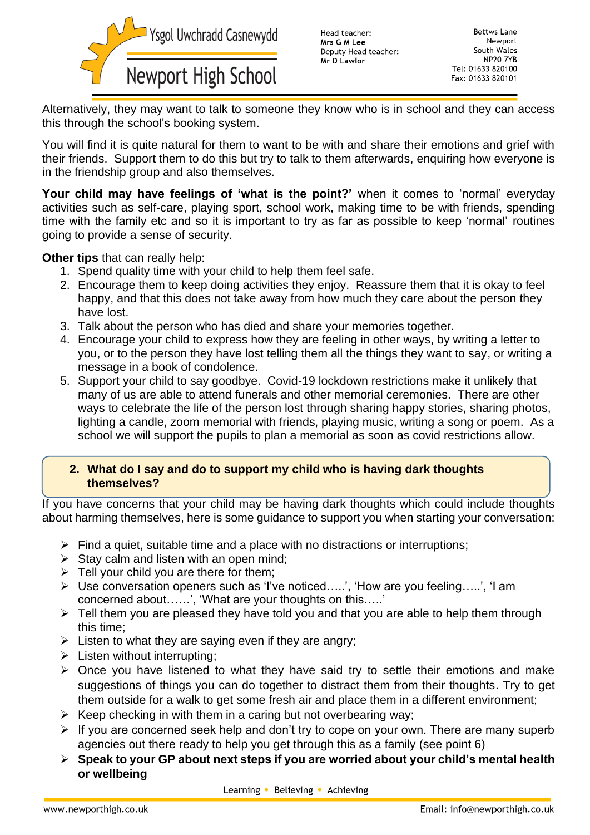

Head teacher: Mrs G M Lee Deputy Head teacher: Mr D Lawlor

**Bettws Lane** Newport South Wales **NP20 7YB** Tel: 01633 820100 Fax: 01633 820101

Alternatively, they may want to talk to someone they know who is in school and they can access this through the school's booking system.

You will find it is quite natural for them to want to be with and share their emotions and grief with their friends. Support them to do this but try to talk to them afterwards, enquiring how everyone is in the friendship group and also themselves.

**Your child may have feelings of 'what is the point?'** when it comes to 'normal' everyday activities such as self-care, playing sport, school work, making time to be with friends, spending time with the family etc and so it is important to try as far as possible to keep 'normal' routines going to provide a sense of security.

**Other tips** that can really help:

- 1. Spend quality time with your child to help them feel safe.
- 2. Encourage them to keep doing activities they enjoy. Reassure them that it is okay to feel happy, and that this does not take away from how much they care about the person they have lost.
- 3. Talk about the person who has died and share your memories together.
- 4. Encourage your child to express how they are feeling in other ways, by writing a letter to you, or to the person they have lost telling them all the things they want to say, or writing a message in a book of condolence.
- 5. Support your child to say goodbye. Covid-19 lockdown restrictions make it unlikely that many of us are able to attend funerals and other memorial ceremonies. There are other ways to celebrate the life of the person lost through sharing happy stories, sharing photos, lighting a candle, zoom memorial with friends, playing music, writing a song or poem. As a school we will support the pupils to plan a memorial as soon as covid restrictions allow.

#### **2. What do I say and do to support my child who is having dark thoughts themselves?**

If you have concerns that your child may be having dark thoughts which could include thoughts about harming themselves, here is some guidance to support you when starting your conversation:

- $\triangleright$  Find a quiet, suitable time and a place with no distractions or interruptions;
- $\triangleright$  Stay calm and listen with an open mind;
- $\triangleright$  Tell your child you are there for them;
- ➢ Use conversation openers such as 'I've noticed…..', 'How are you feeling…..', 'I am concerned about……', 'What are your thoughts on this…..'
- $\triangleright$  Tell them you are pleased they have told you and that you are able to help them through this time;
- $\triangleright$  Listen to what they are saying even if they are angry;
- $\triangleright$  Listen without interrupting;
- ➢ Once you have listened to what they have said try to settle their emotions and make suggestions of things you can do together to distract them from their thoughts. Try to get them outside for a walk to get some fresh air and place them in a different environment;
- $\triangleright$  Keep checking in with them in a caring but not overbearing way;
- ➢ If you are concerned seek help and don't try to cope on your own. There are many superb agencies out there ready to help you get through this as a family (see point 6)
- ➢ **Speak to your GP about next steps if you are worried about your child's mental health or wellbeing**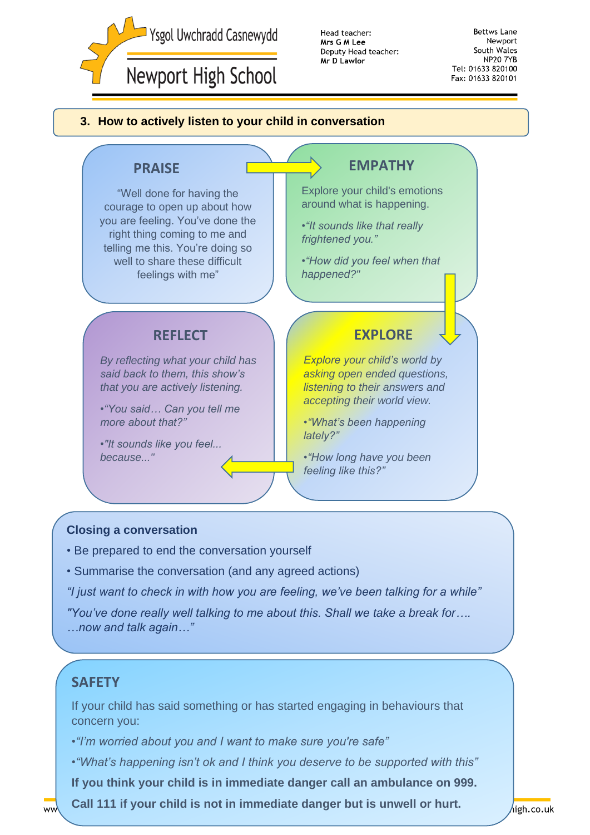

Head teacher: Mrs G M Lee Deputy Head teacher: Mr D Lawlor

**Bettws Lane** Newport South Wales **NP20 7YB** Tel: 01633 820100 Fax: 01633 820101

#### **3. How to actively listen to your child in conversation**



#### **Closing a conversation**

- Be prepared to end the conversation yourself
- Summarise the conversation (and any agreed actions)

*"I just want to check in with how you are feeling, we've been talking for a while"*

*"You've done really well talking to me about this. Shall we take a break for…. …now and talk again…"*

## **SAFETY**

If your child has said something or has started engaging in behaviours that concern you:

•*"I'm worried about you and I want to make sure you're safe"*

•*"What's happening isn't ok and I think you deserve to be supported with this"*

**If you think your child is in immediate danger call an ambulance on 999.**

**Call 111 if your child is not in immediate danger but is unwell or hurt.**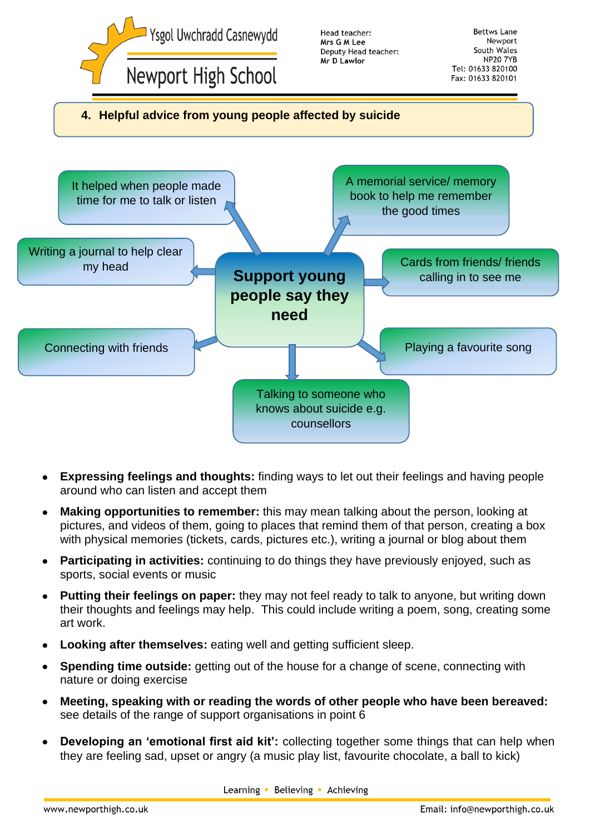

- **Expressing feelings and thoughts:** finding ways to let out their feelings and having people around who can listen and accept them
- **Making opportunities to remember:** this may mean talking about the person, looking at pictures, and videos of them, going to places that remind them of that person, creating a box with physical memories (tickets, cards, pictures etc.), writing a journal or blog about them
- **Participating in activities:** continuing to do things they have previously enjoyed, such as sports, social events or music
- **Putting their feelings on paper:** they may not feel ready to talk to anyone, but writing down their thoughts and feelings may help. This could include writing a poem, song, creating some art work.
- **Looking after themselves:** eating well and getting sufficient sleep.
- **Spending time outside:** getting out of the house for a change of scene, connecting with nature or doing exercise
- **Meeting, speaking with or reading the words of other people who have been bereaved:**  see details of the range of support organisations in point 6
- **Developing an 'emotional first aid kit':** collecting together some things that can help when they are feeling sad, upset or angry (a music play list, favourite chocolate, a ball to kick)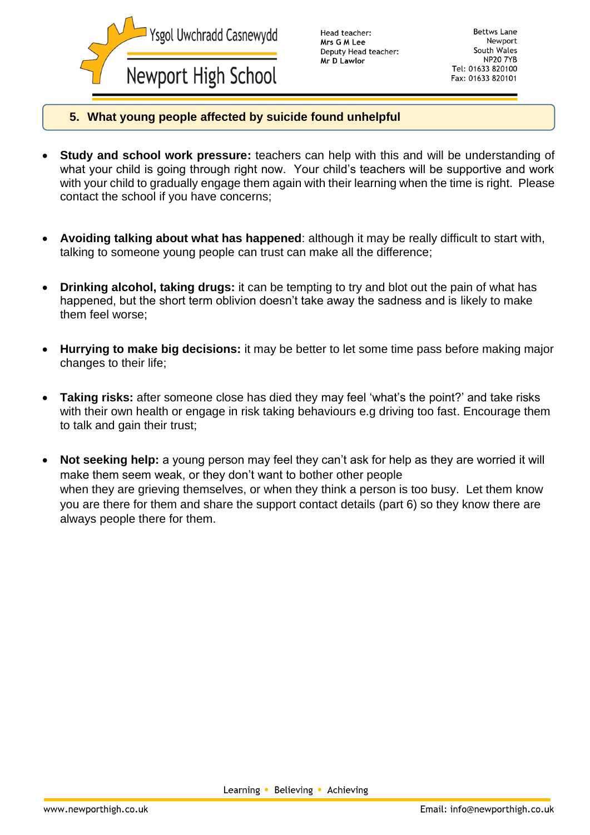

Head teacher: Mrs G M Lee Deputy Head teacher: Mr D Lawlor

Bettws Lane Newnort South Wales **NP20 7YB** Tel: 01633 820100 Fax: 01633 820101

#### **5. What young people affected by suicide found unhelpful**

- **Study and school work pressure:** teachers can help with this and will be understanding of what your child is going through right now. Your child's teachers will be supportive and work with your child to gradually engage them again with their learning when the time is right. Please contact the school if you have concerns;
- **Avoiding talking about what has happened**: although it may be really difficult to start with, talking to someone young people can trust can make all the difference;
- **Drinking alcohol, taking drugs:** it can be tempting to try and blot out the pain of what has happened, but the short term oblivion doesn't take away the sadness and is likely to make them feel worse;
- **Hurrying to make big decisions:** it may be better to let some time pass before making major changes to their life;
- **Taking risks:** after someone close has died they may feel 'what's the point?' and take risks with their own health or engage in risk taking behaviours e.g driving too fast. Encourage them to talk and gain their trust;
- **Not seeking help:** a young person may feel they can't ask for help as they are worried it will make them seem weak, or they don't want to bother other people when they are grieving themselves, or when they think a person is too busy. Let them know you are there for them and share the support contact details (part 6) so they know there are always people there for them.